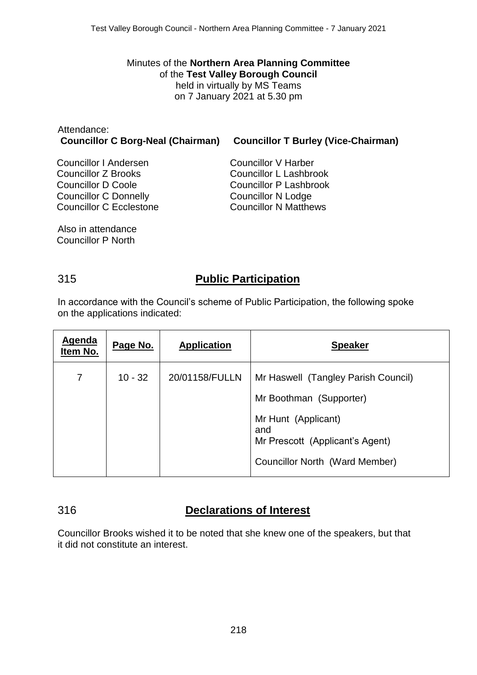Minutes of the **Northern Area Planning Committee** of the **Test Valley Borough Council** held in virtually by MS Teams on 7 January 2021 at 5.30 pm

#### Attendance: **Councillor C Borg-Neal (Chairman) Councillor T Burley (Vice-Chairman)** Councillor I Andersen Councillor V Harber

Councillor Z Brooks Councillor D Coole Councillor C Donnelly Councillor C Ecclestone Councillor L Lashbrook Councillor P Lashbrook Councillor N Lodge Councillor N Matthews

Also in attendance Councillor P North

# 315 **Public Participation**

In accordance with the Council's scheme of Public Participation, the following spoke on the applications indicated:

| Agenda<br>Item No. | Page No.  | <b>Application</b> | <b>Speaker</b>                                                                                  |
|--------------------|-----------|--------------------|-------------------------------------------------------------------------------------------------|
| $\overline{7}$     | $10 - 32$ | 20/01158/FULLN     | Mr Haswell (Tangley Parish Council)                                                             |
|                    |           |                    | Mr Boothman (Supporter)                                                                         |
|                    |           |                    | Mr Hunt (Applicant)<br>and<br>Mr Prescott (Applicant's Agent)<br>Councillor North (Ward Member) |

# 316 **Declarations of Interest**

Councillor Brooks wished it to be noted that she knew one of the speakers, but that it did not constitute an interest.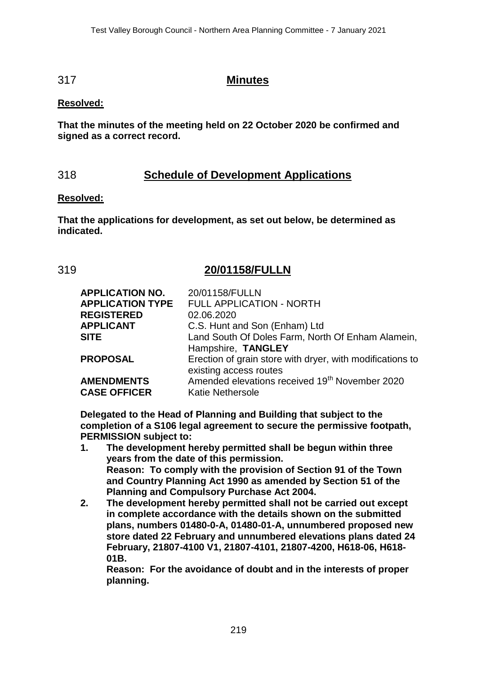### 317 **Minutes**

### **Resolved:**

**That the minutes of the meeting held on 22 October 2020 be confirmed and signed as a correct record.**

# 318 **Schedule of Development Applications**

### **Resolved:**

**That the applications for development, as set out below, be determined as indicated.**

## 319 **20/01158/FULLN**

| 20/01158/FULLN                                             |
|------------------------------------------------------------|
| FULL APPLICATION - NORTH                                   |
| 02.06.2020                                                 |
| C.S. Hunt and Son (Enham) Ltd                              |
| Land South Of Doles Farm, North Of Enham Alamein,          |
| Hampshire, TANGLEY                                         |
| Erection of grain store with dryer, with modifications to  |
| existing access routes                                     |
| Amended elevations received 19 <sup>th</sup> November 2020 |
| <b>Katie Nethersole</b>                                    |
|                                                            |

**Delegated to the Head of Planning and Building that subject to the completion of a S106 legal agreement to secure the permissive footpath, PERMISSION subject to:**

- **1. The development hereby permitted shall be begun within three years from the date of this permission. Reason: To comply with the provision of Section 91 of the Town and Country Planning Act 1990 as amended by Section 51 of the Planning and Compulsory Purchase Act 2004.**
- **2. The development hereby permitted shall not be carried out except in complete accordance with the details shown on the submitted plans, numbers 01480-0-A, 01480-01-A, unnumbered proposed new store dated 22 February and unnumbered elevations plans dated 24 February, 21807-4100 V1, 21807-4101, 21807-4200, H618-06, H618- 01B.**

**Reason: For the avoidance of doubt and in the interests of proper planning.**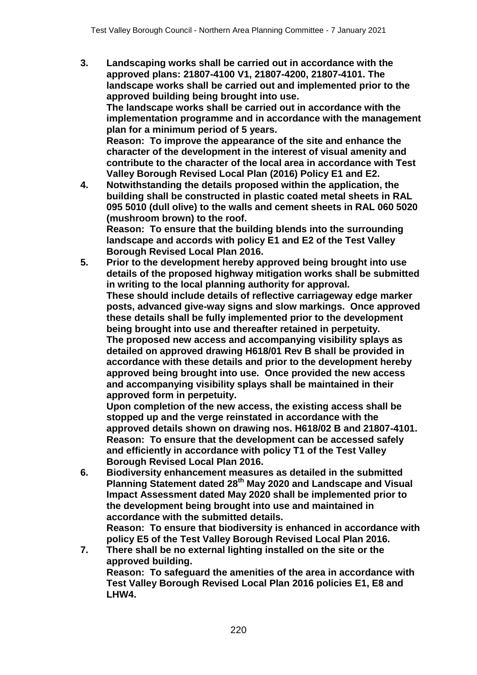- **3. Landscaping works shall be carried out in accordance with the approved plans: 21807-4100 V1, 21807-4200, 21807-4101. The landscape works shall be carried out and implemented prior to the approved building being brought into use. The landscape works shall be carried out in accordance with the implementation programme and in accordance with the management plan for a minimum period of 5 years. Reason: To improve the appearance of the site and enhance the character of the development in the interest of visual amenity and contribute to the character of the local area in accordance with Test Valley Borough Revised Local Plan (2016) Policy E1 and E2.**
- **4. Notwithstanding the details proposed within the application, the building shall be constructed in plastic coated metal sheets in RAL 095 5010 (dull olive) to the walls and cement sheets in RAL 060 5020 (mushroom brown) to the roof. Reason: To ensure that the building blends into the surrounding landscape and accords with policy E1 and E2 of the Test Valley Borough Revised Local Plan 2016.**
- **5. Prior to the development hereby approved being brought into use details of the proposed highway mitigation works shall be submitted in writing to the local planning authority for approval. These should include details of reflective carriageway edge marker posts, advanced give-way signs and slow markings. Once approved these details shall be fully implemented prior to the development being brought into use and thereafter retained in perpetuity. The proposed new access and accompanying visibility splays as detailed on approved drawing H618/01 Rev B shall be provided in accordance with these details and prior to the development hereby approved being brought into use. Once provided the new access and accompanying visibility splays shall be maintained in their approved form in perpetuity.**

**Upon completion of the new access, the existing access shall be stopped up and the verge reinstated in accordance with the approved details shown on drawing nos. H618/02 B and 21807-4101. Reason: To ensure that the development can be accessed safely and efficiently in accordance with policy T1 of the Test Valley Borough Revised Local Plan 2016.**

**6. Biodiversity enhancement measures as detailed in the submitted Planning Statement dated 28th May 2020 and Landscape and Visual Impact Assessment dated May 2020 shall be implemented prior to the development being brought into use and maintained in accordance with the submitted details.**

**Reason: To ensure that biodiversity is enhanced in accordance with policy E5 of the Test Valley Borough Revised Local Plan 2016.**

**7. There shall be no external lighting installed on the site or the approved building. Reason: To safeguard the amenities of the area in accordance with** 

**Test Valley Borough Revised Local Plan 2016 policies E1, E8 and LHW4.**